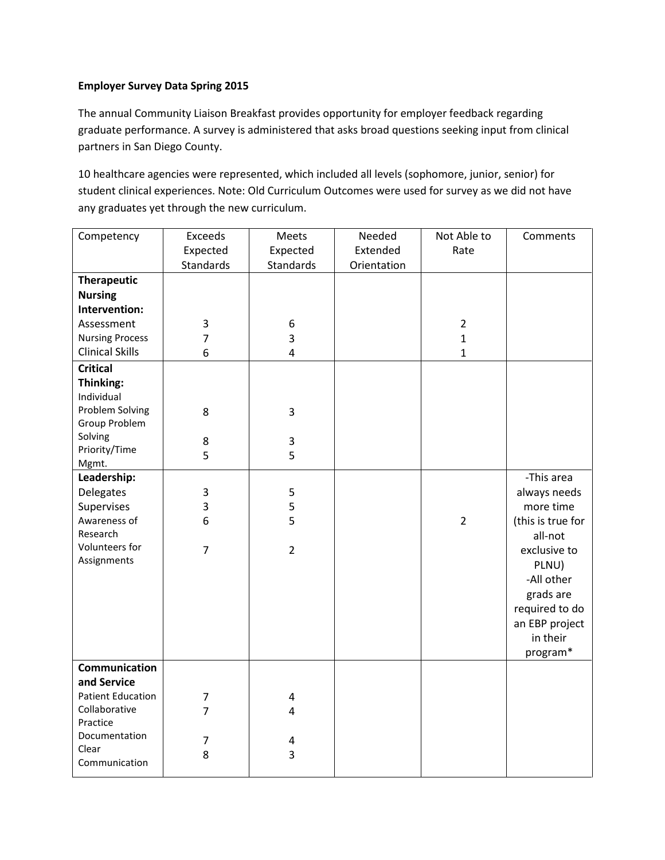## **Employer Survey Data Spring 2015**

The annual Community Liaison Breakfast provides opportunity for employer feedback regarding graduate performance. A survey is administered that asks broad questions seeking input from clinical partners in San Diego County.

10 healthcare agencies were represented, which included all levels (sophomore, junior, senior) for student clinical experiences. Note: Old Curriculum Outcomes were used for survey as we did not have any graduates yet through the new curriculum.

| Competency               | Exceeds        | Meets                   | Needed      | Not Able to    | Comments          |
|--------------------------|----------------|-------------------------|-------------|----------------|-------------------|
|                          | Expected       | Expected                | Extended    | Rate           |                   |
|                          | Standards      | Standards               | Orientation |                |                   |
| <b>Therapeutic</b>       |                |                         |             |                |                   |
| <b>Nursing</b>           |                |                         |             |                |                   |
| Intervention:            |                |                         |             |                |                   |
| Assessment               | 3              | $\,6\,$                 |             | $\overline{2}$ |                   |
| <b>Nursing Process</b>   | $\overline{7}$ | 3                       |             | $\mathbf{1}$   |                   |
| <b>Clinical Skills</b>   | 6              | $\overline{\mathbf{4}}$ |             | $\mathbf{1}$   |                   |
| <b>Critical</b>          |                |                         |             |                |                   |
| Thinking:                |                |                         |             |                |                   |
| Individual               |                |                         |             |                |                   |
| Problem Solving          | 8              | 3                       |             |                |                   |
| Group Problem            |                |                         |             |                |                   |
| Solving                  | 8              | 3                       |             |                |                   |
| Priority/Time            | 5              | 5                       |             |                |                   |
| Mgmt.                    |                |                         |             |                |                   |
| Leadership:              |                |                         |             |                | -This area        |
| Delegates                | 3              | 5                       |             |                | always needs      |
| Supervises               | 3              | 5                       |             |                | more time         |
| Awareness of             | 6              | 5                       |             | $\overline{2}$ | (this is true for |
| Research                 |                |                         |             |                | all-not           |
| Volunteers for           | $\overline{7}$ | $\overline{2}$          |             |                | exclusive to      |
| Assignments              |                |                         |             |                | PLNU)             |
|                          |                |                         |             |                | -All other        |
|                          |                |                         |             |                | grads are         |
|                          |                |                         |             |                | required to do    |
|                          |                |                         |             |                | an EBP project    |
|                          |                |                         |             |                | in their          |
|                          |                |                         |             |                | program*          |
| Communication            |                |                         |             |                |                   |
| and Service              |                |                         |             |                |                   |
| <b>Patient Education</b> | $\overline{7}$ | 4                       |             |                |                   |
| Collaborative            | $\overline{7}$ | $\overline{\mathbf{4}}$ |             |                |                   |
| Practice                 |                |                         |             |                |                   |
| Documentation            | $\overline{7}$ | $\pmb{4}$               |             |                |                   |
| Clear                    | 8              | 3                       |             |                |                   |
| Communication            |                |                         |             |                |                   |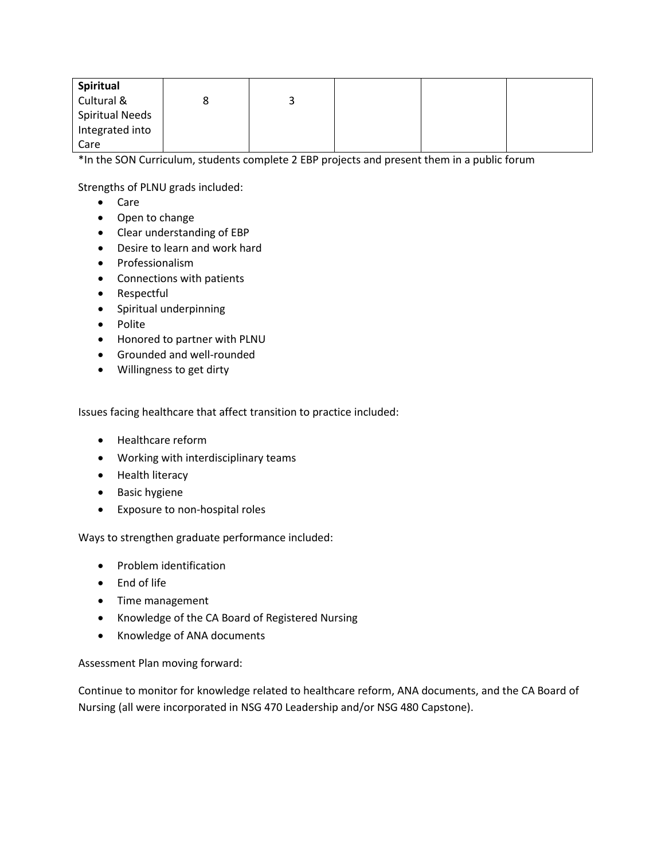| Spiritual              |   |  |  |
|------------------------|---|--|--|
| Cultural &             | ت |  |  |
| <b>Spiritual Needs</b> |   |  |  |
| Integrated into        |   |  |  |
| Care                   |   |  |  |

\*In the SON Curriculum, students complete 2 EBP projects and present them in a public forum

Strengths of PLNU grads included:

- Care
- Open to change
- Clear understanding of EBP
- Desire to learn and work hard
- Professionalism
- Connections with patients
- Respectful
- Spiritual underpinning
- Polite
- Honored to partner with PLNU
- Grounded and well-rounded
- Willingness to get dirty

Issues facing healthcare that affect transition to practice included:

- Healthcare reform
- Working with interdisciplinary teams
- Health literacy
- Basic hygiene
- Exposure to non-hospital roles

Ways to strengthen graduate performance included:

- Problem identification
- End of life
- Time management
- Knowledge of the CA Board of Registered Nursing
- Knowledge of ANA documents

Assessment Plan moving forward:

Continue to monitor for knowledge related to healthcare reform, ANA documents, and the CA Board of Nursing (all were incorporated in NSG 470 Leadership and/or NSG 480 Capstone).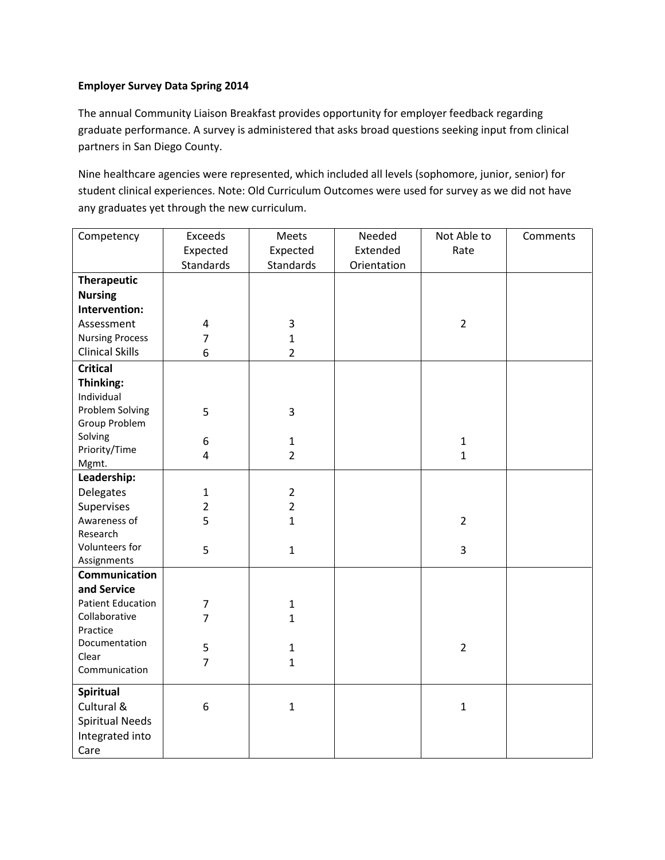## **Employer Survey Data Spring 2014**

The annual Community Liaison Breakfast provides opportunity for employer feedback regarding graduate performance. A survey is administered that asks broad questions seeking input from clinical partners in San Diego County.

Nine healthcare agencies were represented, which included all levels (sophomore, junior, senior) for student clinical experiences. Note: Old Curriculum Outcomes were used for survey as we did not have any graduates yet through the new curriculum.

| Competency                          | Exceeds          | Meets          | Needed      | Not Able to    | Comments |
|-------------------------------------|------------------|----------------|-------------|----------------|----------|
|                                     | Expected         | Expected       | Extended    | Rate           |          |
|                                     | Standards        | Standards      | Orientation |                |          |
| <b>Therapeutic</b>                  |                  |                |             |                |          |
| <b>Nursing</b>                      |                  |                |             |                |          |
| Intervention:                       |                  |                |             |                |          |
| Assessment                          | $\pmb{4}$        | 3              |             | $\overline{2}$ |          |
| <b>Nursing Process</b>              | $\overline{7}$   | $\mathbf 1$    |             |                |          |
| <b>Clinical Skills</b>              | 6                | $\overline{2}$ |             |                |          |
| <b>Critical</b>                     |                  |                |             |                |          |
| Thinking:                           |                  |                |             |                |          |
| Individual                          |                  |                |             |                |          |
| Problem Solving                     | 5                | 3              |             |                |          |
| Group Problem                       |                  |                |             |                |          |
| Solving                             | $\boldsymbol{6}$ | $\mathbf{1}$   |             | $\mathbf 1$    |          |
| Priority/Time                       | $\overline{4}$   | $\overline{2}$ |             | $\mathbf{1}$   |          |
| Mgmt.                               |                  |                |             |                |          |
| Leadership:                         |                  |                |             |                |          |
| Delegates                           | $\mathbf{1}$     | $\overline{2}$ |             |                |          |
| Supervises                          | $\overline{2}$   | $\overline{2}$ |             |                |          |
| Awareness of                        | 5                | $\mathbf{1}$   |             | $\overline{2}$ |          |
| Research                            |                  |                |             |                |          |
| Volunteers for                      | 5                | $\mathbf{1}$   |             | $\overline{3}$ |          |
| Assignments<br><b>Communication</b> |                  |                |             |                |          |
| and Service                         |                  |                |             |                |          |
| <b>Patient Education</b>            | 7                | $\mathbf{1}$   |             |                |          |
| Collaborative                       | $\overline{7}$   | $\mathbf{1}$   |             |                |          |
| Practice                            |                  |                |             |                |          |
| Documentation                       | 5                | $\mathbf{1}$   |             | $\overline{2}$ |          |
| Clear                               | $\overline{7}$   |                |             |                |          |
| Communication                       |                  | $\mathbf{1}$   |             |                |          |
| <b>Spiritual</b>                    |                  |                |             |                |          |
| Cultural &                          | 6                | $\mathbf{1}$   |             | 1              |          |
| <b>Spiritual Needs</b>              |                  |                |             |                |          |
| Integrated into                     |                  |                |             |                |          |
|                                     |                  |                |             |                |          |
| Care                                |                  |                |             |                |          |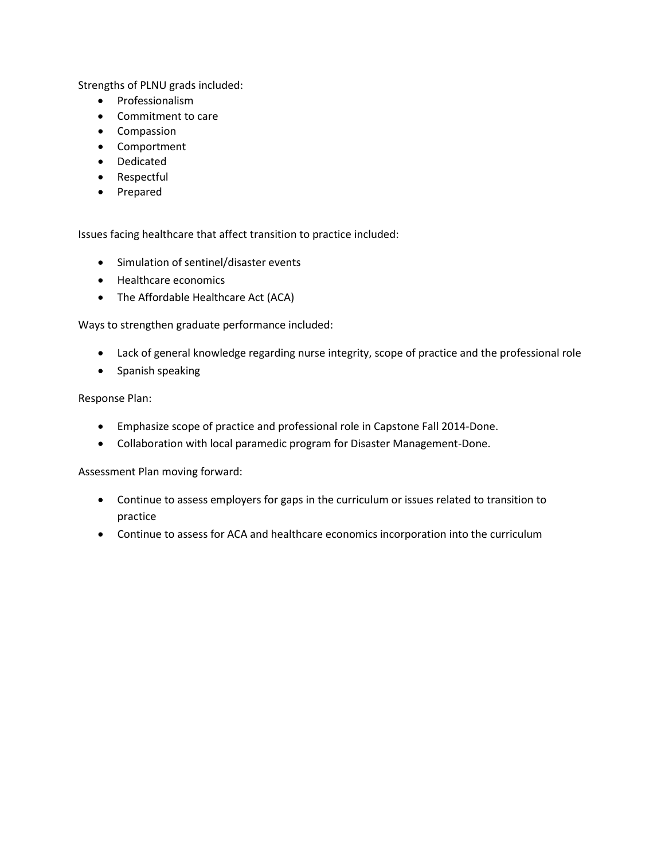Strengths of PLNU grads included:

- Professionalism
- Commitment to care
- Compassion
- Comportment
- Dedicated
- Respectful
- Prepared

Issues facing healthcare that affect transition to practice included:

- Simulation of sentinel/disaster events
- Healthcare economics
- The Affordable Healthcare Act (ACA)

Ways to strengthen graduate performance included:

- Lack of general knowledge regarding nurse integrity, scope of practice and the professional role
- Spanish speaking

### Response Plan:

- Emphasize scope of practice and professional role in Capstone Fall 2014-Done.
- Collaboration with local paramedic program for Disaster Management-Done.

Assessment Plan moving forward:

- Continue to assess employers for gaps in the curriculum or issues related to transition to practice
- Continue to assess for ACA and healthcare economics incorporation into the curriculum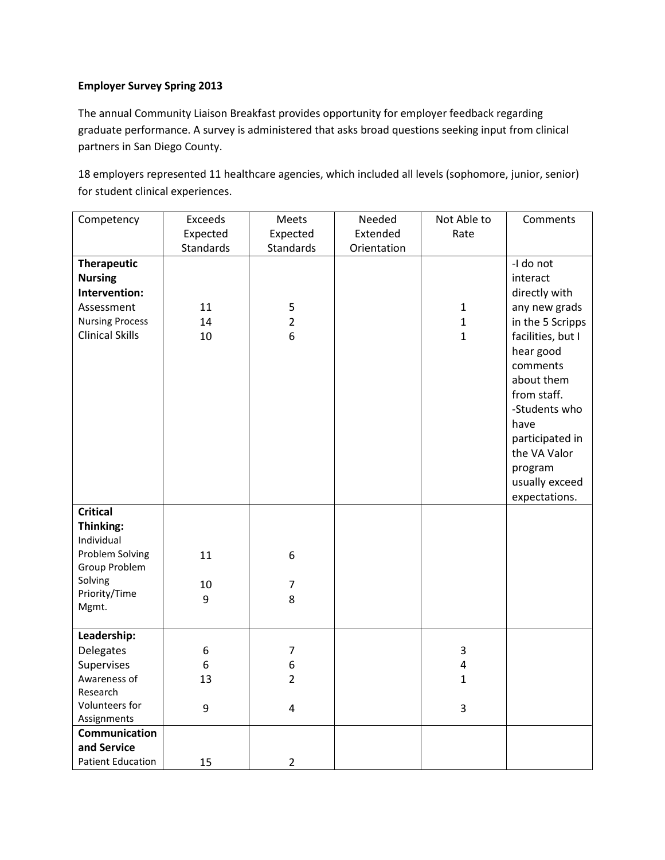# **Employer Survey Spring 2013**

The annual Community Liaison Breakfast provides opportunity for employer feedback regarding graduate performance. A survey is administered that asks broad questions seeking input from clinical partners in San Diego County.

18 employers represented 11 healthcare agencies, which included all levels (sophomore, junior, senior) for student clinical experiences.

| Competency                                                                                                              | Exceeds           | Meets                                                   | Needed      | Not Able to                                                  | Comments                                                                                                                                                                                                                                                         |
|-------------------------------------------------------------------------------------------------------------------------|-------------------|---------------------------------------------------------|-------------|--------------------------------------------------------------|------------------------------------------------------------------------------------------------------------------------------------------------------------------------------------------------------------------------------------------------------------------|
|                                                                                                                         | Expected          | Expected                                                | Extended    | Rate                                                         |                                                                                                                                                                                                                                                                  |
|                                                                                                                         | Standards         | <b>Standards</b>                                        | Orientation |                                                              |                                                                                                                                                                                                                                                                  |
| <b>Therapeutic</b><br><b>Nursing</b><br>Intervention:<br>Assessment<br><b>Nursing Process</b><br><b>Clinical Skills</b> | 11<br>14<br>10    | 5<br>$\overline{2}$<br>6                                |             | $\mathbf 1$<br>$\mathbf{1}$<br>$\mathbf{1}$                  | -I do not<br>interact<br>directly with<br>any new grads<br>in the 5 Scripps<br>facilities, but I<br>hear good<br>comments<br>about them<br>from staff.<br>-Students who<br>have<br>participated in<br>the VA Valor<br>program<br>usually exceed<br>expectations. |
| <b>Critical</b><br>Thinking:<br>Individual<br>Problem Solving<br>Group Problem<br>Solving                               | 11<br>10          | 6<br>$\overline{7}$                                     |             |                                                              |                                                                                                                                                                                                                                                                  |
| Priority/Time<br>Mgmt.                                                                                                  | 9                 | 8                                                       |             |                                                              |                                                                                                                                                                                                                                                                  |
|                                                                                                                         |                   |                                                         |             |                                                              |                                                                                                                                                                                                                                                                  |
| Leadership:<br>Delegates<br>Supervises<br>Awareness of<br>Research<br>Volunteers for<br>Assignments                     | 6<br>6<br>13<br>9 | $\overline{7}$<br>6<br>$\overline{2}$<br>$\overline{4}$ |             | $\mathbf{3}$<br>$\overline{\mathbf{4}}$<br>$\mathbf{1}$<br>3 |                                                                                                                                                                                                                                                                  |
| Communication<br>and Service                                                                                            |                   |                                                         |             |                                                              |                                                                                                                                                                                                                                                                  |
| <b>Patient Education</b>                                                                                                | 15                | $\overline{2}$                                          |             |                                                              |                                                                                                                                                                                                                                                                  |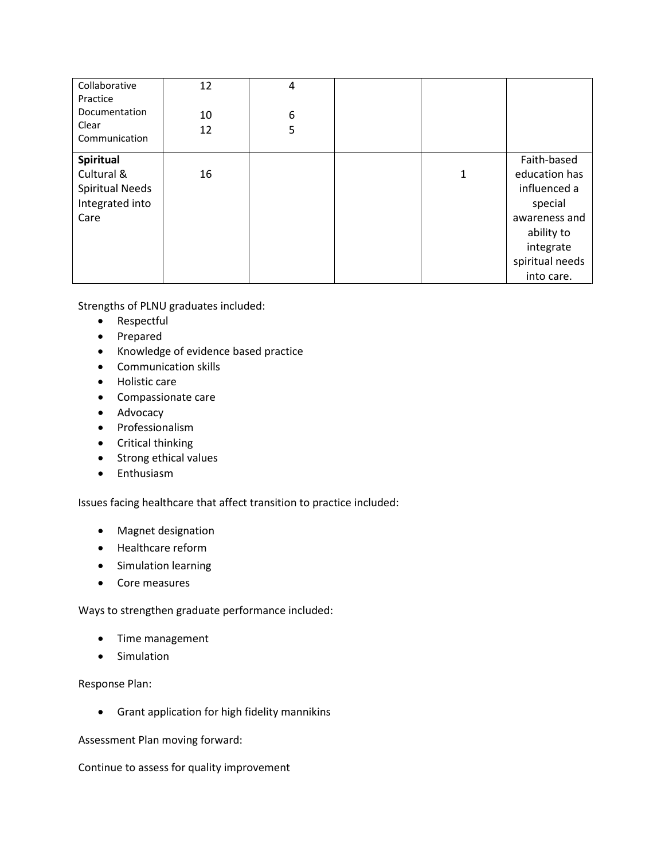| Collaborative<br>Practice<br>Documentation<br>Clear<br>Communication         | 12<br>10<br>12 | 4<br>6<br>5 |   |                                                                                                                                      |
|------------------------------------------------------------------------------|----------------|-------------|---|--------------------------------------------------------------------------------------------------------------------------------------|
| Spiritual<br>Cultural &<br><b>Spiritual Needs</b><br>Integrated into<br>Care | 16             |             | 1 | Faith-based<br>education has<br>influenced a<br>special<br>awareness and<br>ability to<br>integrate<br>spiritual needs<br>into care. |

Strengths of PLNU graduates included:

- Respectful
- Prepared
- Knowledge of evidence based practice
- Communication skills
- Holistic care
- Compassionate care
- Advocacy
- Professionalism
- Critical thinking
- Strong ethical values
- Enthusiasm

Issues facing healthcare that affect transition to practice included:

- Magnet designation
- Healthcare reform
- Simulation learning
- Core measures

Ways to strengthen graduate performance included:

- Time management
- Simulation

Response Plan:

• Grant application for high fidelity mannikins

Assessment Plan moving forward:

Continue to assess for quality improvement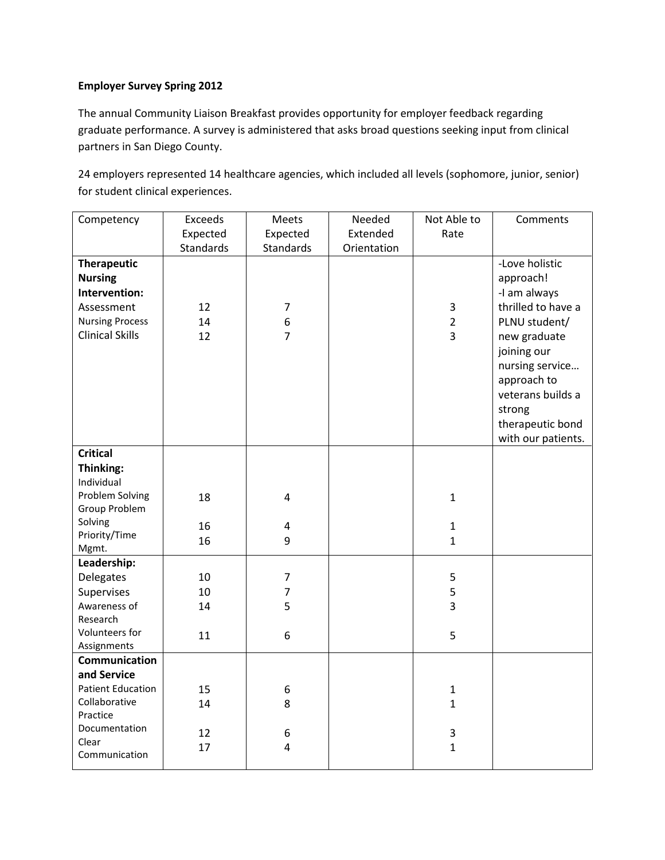# **Employer Survey Spring 2012**

The annual Community Liaison Breakfast provides opportunity for employer feedback regarding graduate performance. A survey is administered that asks broad questions seeking input from clinical partners in San Diego County.

24 employers represented 14 healthcare agencies, which included all levels (sophomore, junior, senior) for student clinical experiences.

| Competency                    | Exceeds   | Meets                   | Needed      | Not Able to    | Comments           |
|-------------------------------|-----------|-------------------------|-------------|----------------|--------------------|
|                               | Expected  | Expected                | Extended    | Rate           |                    |
|                               | Standards | Standards               | Orientation |                |                    |
| <b>Therapeutic</b>            |           |                         |             |                | -Love holistic     |
| <b>Nursing</b>                |           |                         |             |                | approach!          |
| Intervention:                 |           |                         |             |                | -I am always       |
| Assessment                    | 12        | $\overline{7}$          |             | $\mathbf{3}$   | thrilled to have a |
| <b>Nursing Process</b>        | 14        | 6                       |             | $\overline{2}$ | PLNU student/      |
| <b>Clinical Skills</b>        | 12        | $\overline{7}$          |             | $\overline{3}$ | new graduate       |
|                               |           |                         |             |                | joining our        |
|                               |           |                         |             |                | nursing service    |
|                               |           |                         |             |                | approach to        |
|                               |           |                         |             |                | veterans builds a  |
|                               |           |                         |             |                | strong             |
|                               |           |                         |             |                | therapeutic bond   |
|                               |           |                         |             |                | with our patients. |
| <b>Critical</b>               |           |                         |             |                |                    |
| Thinking:                     |           |                         |             |                |                    |
| Individual                    |           |                         |             |                |                    |
| Problem Solving               | 18        | $\overline{4}$          |             | $\mathbf{1}$   |                    |
| Group Problem                 |           |                         |             |                |                    |
| Solving                       | 16        | $\overline{\mathbf{4}}$ |             | $\mathbf{1}$   |                    |
| Priority/Time                 | 16        | 9                       |             | $\mathbf{1}$   |                    |
| Mgmt.                         |           |                         |             |                |                    |
| Leadership:                   |           |                         |             |                |                    |
| Delegates                     | 10        | $\overline{7}$          |             | 5              |                    |
| Supervises                    | 10        | $\overline{7}$          |             | 5              |                    |
| Awareness of                  | 14        | 5                       |             | $\overline{3}$ |                    |
| Research                      |           |                         |             |                |                    |
| Volunteers for<br>Assignments | 11        | $\boldsymbol{6}$        |             | 5              |                    |
| Communication                 |           |                         |             |                |                    |
| and Service                   |           |                         |             |                |                    |
| <b>Patient Education</b>      | 15        | $\boldsymbol{6}$        |             | $\mathbf 1$    |                    |
| Collaborative                 | 14        | 8                       |             | $\mathbf{1}$   |                    |
| Practice                      |           |                         |             |                |                    |
| Documentation                 | 12        | 6                       |             | 3              |                    |
| Clear                         | 17        | 4                       |             | $\mathbf{1}$   |                    |
| Communication                 |           |                         |             |                |                    |